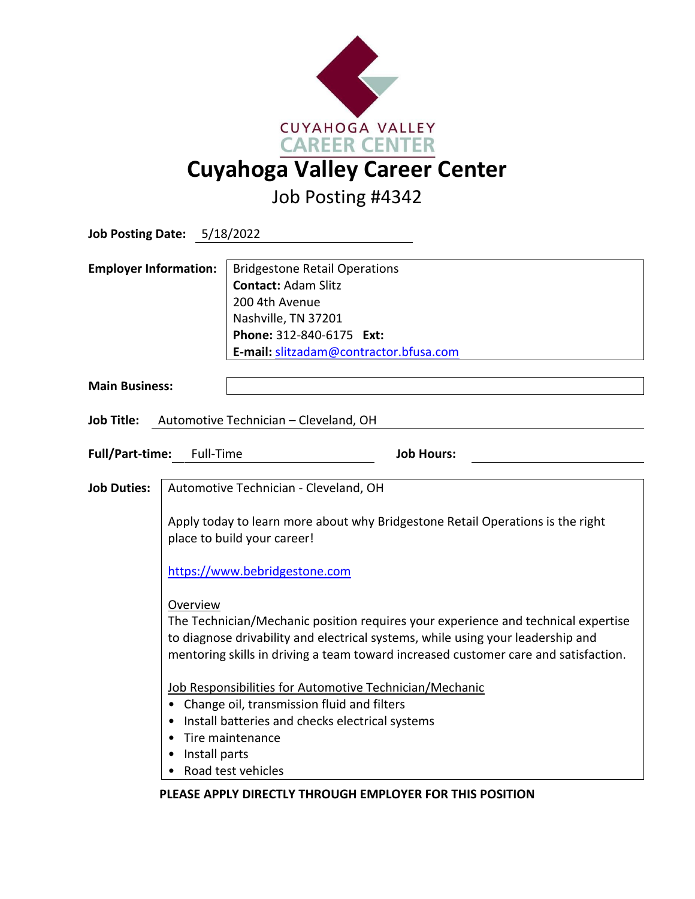

Job Posting #4342

| <b>Job Posting Date: 5/18/2022</b>                       |                                                                                                                                                                                                                                                                         |                                                                                                                                                                                   |
|----------------------------------------------------------|-------------------------------------------------------------------------------------------------------------------------------------------------------------------------------------------------------------------------------------------------------------------------|-----------------------------------------------------------------------------------------------------------------------------------------------------------------------------------|
| <b>Employer Information:</b>                             |                                                                                                                                                                                                                                                                         | <b>Bridgestone Retail Operations</b><br><b>Contact: Adam Slitz</b><br>200 4th Avenue<br>Nashville, TN 37201<br>Phone: 312-840-6175 Ext:<br>E-mail: slitzadam@contractor.bfusa.com |
| <b>Main Business:</b>                                    |                                                                                                                                                                                                                                                                         |                                                                                                                                                                                   |
| Job Title: Automotive Technician - Cleveland, OH         |                                                                                                                                                                                                                                                                         |                                                                                                                                                                                   |
| <b>Full/Part-time:</b><br>Full-Time<br><b>Job Hours:</b> |                                                                                                                                                                                                                                                                         |                                                                                                                                                                                   |
| <b>Job Duties:</b>                                       | Automotive Technician - Cleveland, OH                                                                                                                                                                                                                                   |                                                                                                                                                                                   |
|                                                          | Apply today to learn more about why Bridgestone Retail Operations is the right<br>place to build your career!                                                                                                                                                           |                                                                                                                                                                                   |
|                                                          | https://www.bebridgestone.com                                                                                                                                                                                                                                           |                                                                                                                                                                                   |
|                                                          | Overview<br>The Technician/Mechanic position requires your experience and technical expertise<br>to diagnose drivability and electrical systems, while using your leadership and<br>mentoring skills in driving a team toward increased customer care and satisfaction. |                                                                                                                                                                                   |
|                                                          | Job Responsibilities for Automotive Technician/Mechanic<br>• Change oil, transmission fluid and filters<br>Install batteries and checks electrical systems<br>Tire maintenance                                                                                          |                                                                                                                                                                                   |
|                                                          | Install parts                                                                                                                                                                                                                                                           | Road test vehicles                                                                                                                                                                |

**PLEASE APPLY DIRECTLY THROUGH EMPLOYER FOR THIS POSITION**